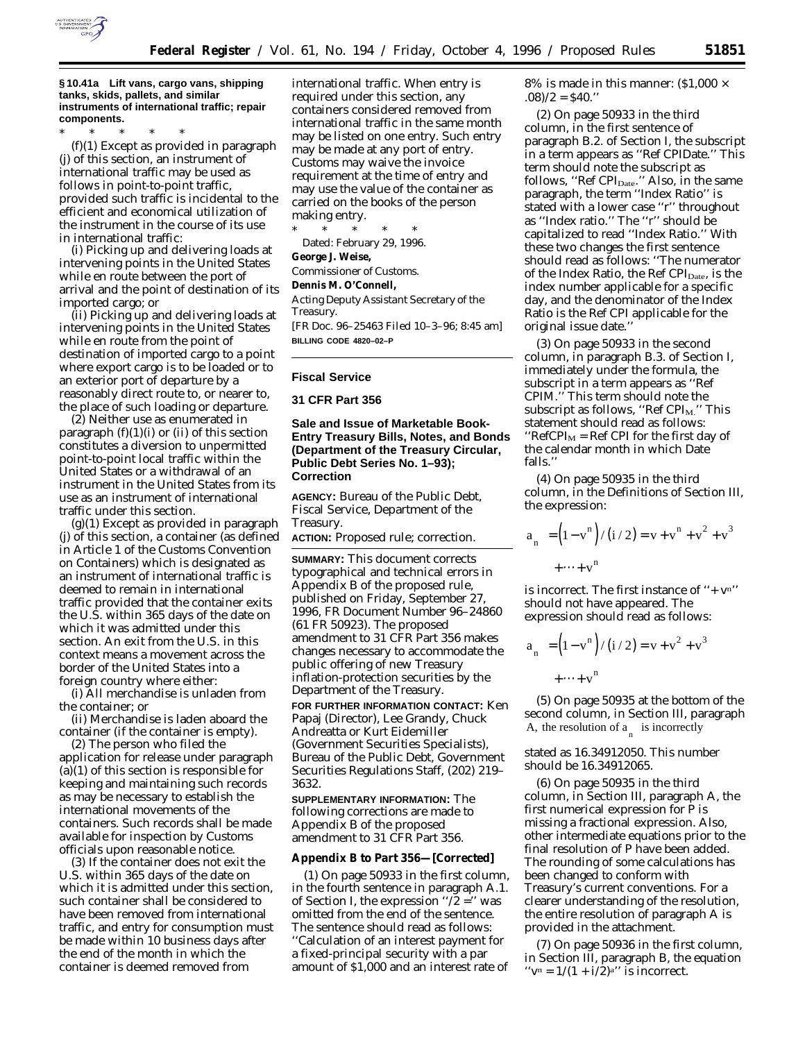

**§ 10.41a Lift vans, cargo vans, shipping tanks, skids, pallets, and similar instruments of international traffic; repair components.**

\* \* \* \* \* (f)(1) Except as provided in paragraph (j) of this section, an instrument of international traffic may be used as follows in point-to-point traffic, provided such traffic is incidental to the efficient and economical utilization of the instrument in the course of its use in international traffic:

(i) Picking up and delivering loads at intervening points in the United States while en route between the port of arrival and the point of destination of its imported cargo; or

(ii) Picking up and delivering loads at intervening points in the United States while en route from the point of destination of imported cargo to a point where export cargo is to be loaded or to an exterior port of departure by a reasonably direct route to, or nearer to, the place of such loading or departure.

(2) Neither use as enumerated in paragraph  $(f)(1)(i)$  or  $(ii)$  of this section constitutes a diversion to unpermitted point-to-point local traffic within the United States or a withdrawal of an instrument in the United States from its use as an instrument of international traffic under this section.

(g)(1) Except as provided in paragraph (j) of this section, a container (as defined in Article 1 of the Customs Convention on Containers) which is designated as an instrument of international traffic is deemed to remain in international traffic provided that the container exits the U.S. within 365 days of the date on which it was admitted under this section. An exit from the U.S. in this context means a movement across the border of the United States into a foreign country where either:

(i) All merchandise is unladen from the container; or

(ii) Merchandise is laden aboard the container (if the container is empty).

(2) The person who filed the application for release under paragraph  $(a)(1)$  of this section is responsible for keeping and maintaining such records as may be necessary to establish the international movements of the containers. Such records shall be made available for inspection by Customs officials upon reasonable notice.

(3) If the container does not exit the U.S. within 365 days of the date on which it is admitted under this section, such container shall be considered to have been removed from international traffic, and entry for consumption must be made within 10 business days after the end of the month in which the container is deemed removed from

international traffic. When entry is required under this section, any containers considered removed from international traffic in the same month may be listed on one entry. Such entry may be made at any port of entry. Customs may waive the invoice requirement at the time of entry and may use the value of the container as carried on the books of the person making entry.

\* \* \* \* \* Dated: February 29, 1996. **George J. Weise,** *Commissioner of Customs.* **Dennis M. O'Connell,** *Acting Deputy Assistant Secretary of the Treasury.* [FR Doc. 96–25463 Filed 10–3–96; 8:45 am] **BILLING CODE 4820–02–P**

#### **Fiscal Service**

#### **31 CFR Part 356**

#### **Sale and Issue of Marketable Book-Entry Treasury Bills, Notes, and Bonds (Department of the Treasury Circular, Public Debt Series No. 1–93); Correction**

**AGENCY:** Bureau of the Public Debt, Fiscal Service, Department of the Treasury.

**ACTION:** Proposed rule; correction.

**SUMMARY:** This document corrects typographical and technical errors in Appendix B of the proposed rule, published on Friday, September 27, 1996, FR Document Number 96–24860 (61 FR 50923). The proposed amendment to 31 CFR Part 356 makes changes necessary to accommodate the public offering of new Treasury inflation-protection securities by the Department of the Treasury.

**FOR FURTHER INFORMATION CONTACT:** Ken Papaj (Director), Lee Grandy, Chuck Andreatta or Kurt Eidemiller (Government Securities Specialists), Bureau of the Public Debt, Government Securities Regulations Staff, (202) 219– 3632.

**SUPPLEMENTARY INFORMATION:** The following corrections are made to Appendix B of the proposed amendment to 31 CFR Part 356.

#### **Appendix B to Part 356—[Corrected]**

(1) On page 50933 in the first column, in the fourth sentence in paragraph A.1. of Section I, the expression " $\sqrt{2}$  =" was omitted from the end of the sentence. The sentence should read as follows: ''Calculation of an interest payment for a fixed-principal security with a par amount of \$1,000 and an interest rate of

8% is made in this manner:  $(1,000 \times$  $.08/2 = $40."$ 

(2) On page 50933 in the third column, in the first sentence of paragraph B.2. of Section I, the subscript in a term appears as ''Ref CPIDate.'' This term should note the subscript as follows, ''Ref CPI<sub>Date</sub>.'' Also, in the same paragraph, the term ''Index Ratio'' is stated with a lower case ''r'' throughout as ''Index ratio.'' The ''r'' should be capitalized to read ''Index Ratio.'' With these two changes the first sentence should read as follows: ''The numerator of the Index Ratio, the Ref CPI<sub>Date</sub>, is the index number applicable for a specific day, and the denominator of the Index Ratio is the Ref CPI applicable for the original issue date.''

(3) On page 50933 in the second column, in paragraph B.3. of Section I, immediately under the formula, the subscript in a term appears as ''Ref CPIM.'' This term should note the subscript as follows, "Ref  $\text{CPI}_M$ ." This statement should read as follows:  $"RefCPI<sub>M</sub> = Ref CPI for the first day of$ the calendar month in which Date falls.''

(4) On page 50935 in the third column, in the Definitions of Section III, the expression:

$$
a_{n} = (1 - v^{n})/(i/2) = v + v^{n} + v^{2} + v^{3}
$$
  
+...+v<sup>n</sup>

is incorrect. The first instance of "+ $v<sup>n</sup>$ " should not have appeared. The expression should read as follows:

$$
a_{n} = (1 - v^{n}) / (i / 2) = v + v^{2} + v^{3}
$$
  
+ ... + v<sup>n</sup>

(5) On page 50935 at the bottom of the second column, in Section III, paragraph A, the resolution of  $a_{n}$  is incorrectly

stated as 16.34912050. This number should be 16.34912065.

(6) On page 50935 in the third column, in Section III, paragraph A, the first numerical expression for P is missing a fractional expression. Also, other intermediate equations prior to the final resolution of P have been added. The rounding of some calculations has been changed to conform with Treasury's current conventions. For a clearer understanding of the resolution, the entire resolution of paragraph A is provided in the attachment.

(7) On page 50936 in the first column, in Section III, paragraph B, the equation " $v^n = 1/(1 + i/2)^{a}$ " is incorrect.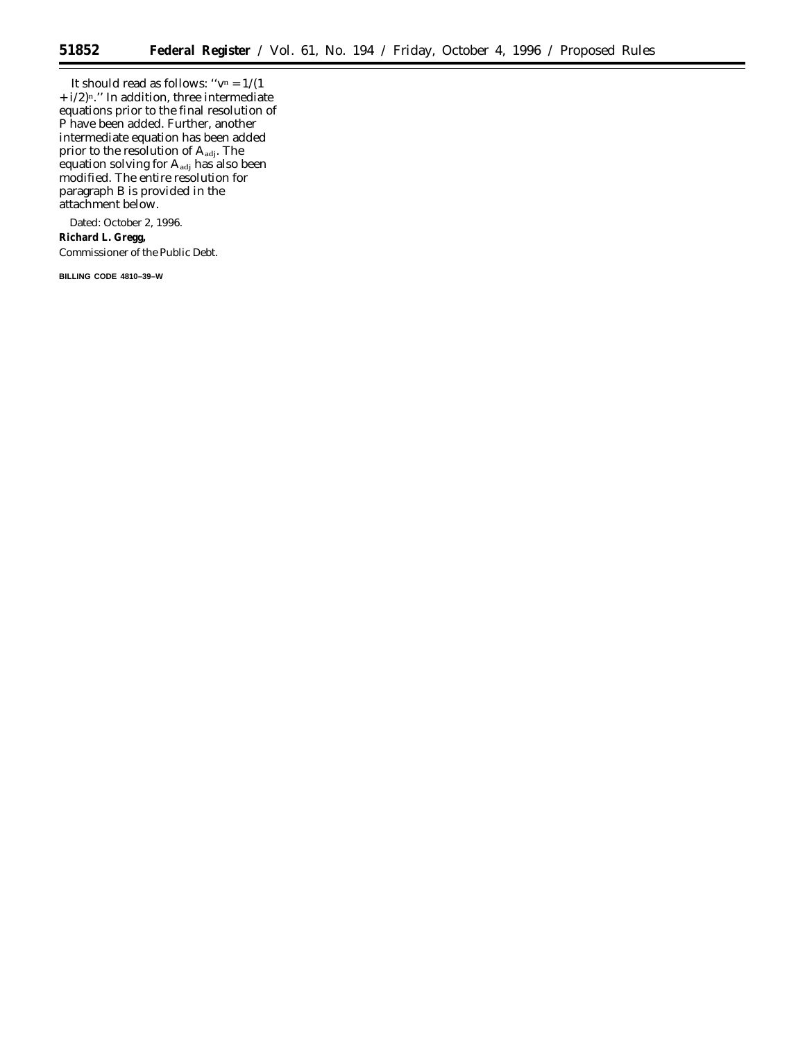It should read as follows: " $v^n = 1/(1$ + i/2)n.'' In addition, three intermediate equations prior to the final resolution of P have been added. Further, another intermediate equation has been added prior to the resolution of Aadj. The equation solving for A<sub>adj</sub> has also been modified. The entire resolution for paragraph B is provided in the attachment below.

Dated: October 2, 1996. **Richard L. Gregg,** *Commissioner of the Public Debt.*

**BILLING CODE 4810–39–W**

 $\equiv$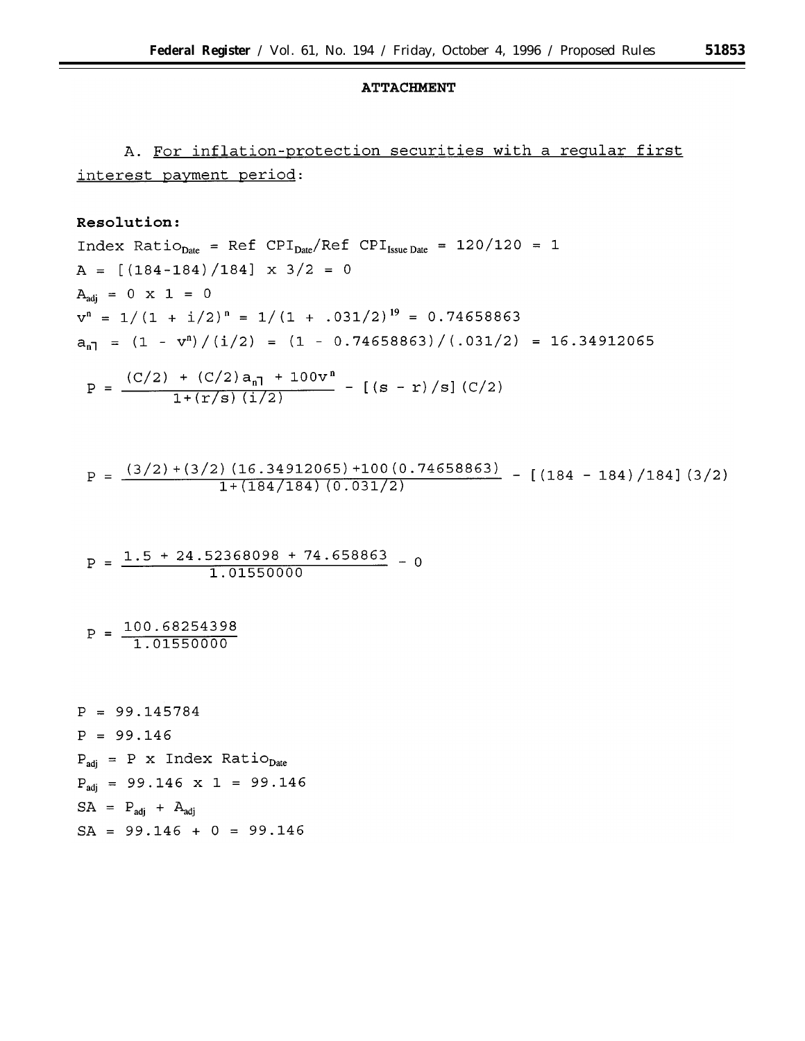#### **ATTACHMENT**

# A. For inflation-protection securities with a reqular first interest payment period:

## Resolution:

Index Ratio<sub>Date</sub> = Ref  $CPI_{Date}/Ref$  CPI<sub>Issue Date</sub> = 120/120 = 1  $A = [(184-184)/184] \times 3/2 = 0$  $A_{adi} = 0 \times 1 = 0$  $v^n = 1/(1 + i/2)^n = 1/(1 + .031/2)^{19} = 0.74658863$  $a_{n1} = (1 - v^n) / (i/2) = (1 - 0.74658863) / (.031/2) = 16.34912065$ 

$$
P = \frac{(C/2) + (C/2) a_{n1} + 100v^{n}}{1 + (r/s) (i/2)} - [(s - r)/s] (C/2)
$$

$$
P = \frac{(3/2) + (3/2) (16.34912065) + 100 (0.74658863)}{1 + (184/184) (0.031/2)} - [(184 - 184)/184] (3/2)
$$

$$
P = \frac{1.5 + 24.52368098 + 74.658863}{1.01550000} - 0
$$

 $P = \frac{100.68254398}{1.01550000}$ 

 $P = 99.145784$  $P = 99.146$  $P_{\text{adi}} = P \times \text{Index Ratio}_{\text{Date}}$  $P_{\text{adj}}$  = 99.146 x 1 = 99.146  $SA = P_{\text{adj}} + A_{\text{adj}}$  $SA = 99.146 + 0 = 99.146$